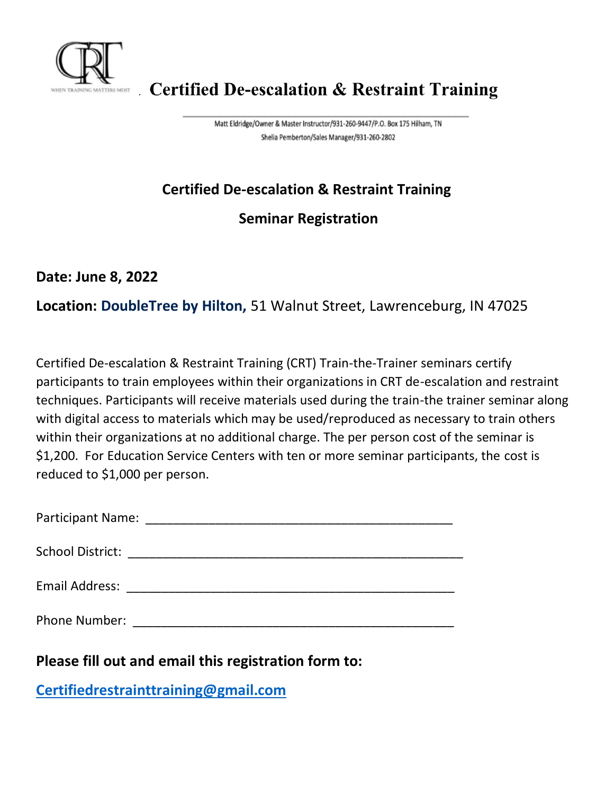

# **Certified De-escalation & Restraint Training**

Matt Eldridge/Owner & Master Instructor/931-260-9447/P.O. Box 175 Hilham, TN Shelia Pemberton/Sales Manager/931-260-2802

# **Certified De-escalation & Restraint Training**

### **Seminar Registration**

#### **Date: June 8, 2022**

**Location: DoubleTree by Hilton,** 51 Walnut Street, Lawrenceburg, IN 47025

Certified De-escalation & Restraint Training (CRT) Train-the-Trainer seminars certify participants to train employees within their organizations in CRT de-escalation and restraint techniques. Participants will receive materials used during the train-the trainer seminar along with digital access to materials which may be used/reproduced as necessary to train others within their organizations at no additional charge. The per person cost of the seminar is \$1,200. For Education Service Centers with ten or more seminar participants, the cost is reduced to \$1,000 per person.

| <b>Participant Name:</b> |  |
|--------------------------|--|
| <b>School District:</b>  |  |
| Email Address:           |  |
| Phone Number:            |  |

### **Please fill out and email this registration form to:**

**[Certifiedrestrainttraining@gmail.com](mailto:Certifiedrestraint@gmail.com)**